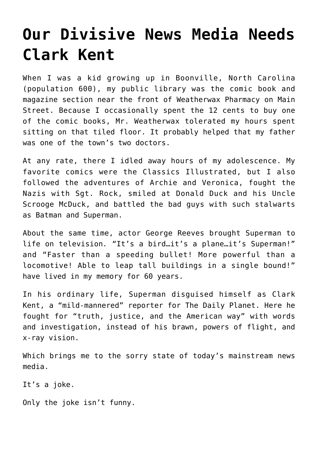## **[Our Divisive News Media Needs](https://intellectualtakeout.org/2019/10/our-divisive-news-media-needs-clark-kent/) [Clark Kent](https://intellectualtakeout.org/2019/10/our-divisive-news-media-needs-clark-kent/)**

When I was a kid growing up in Boonville, North Carolina (population 600), my public library was the comic book and magazine section near the front of Weatherwax Pharmacy on Main Street. Because I occasionally spent the 12 cents to buy one of the comic books, Mr. Weatherwax tolerated my hours spent sitting on that tiled floor. It probably helped that my father was one of the town's two doctors.

At any rate, there I idled away hours of my adolescence. My favorite comics were the Classics Illustrated, but I also followed the adventures of Archie and Veronica, fought the Nazis with Sgt. Rock, smiled at Donald Duck and his Uncle Scrooge McDuck, and battled the bad guys with such stalwarts as Batman and Superman.

About the same time, actor George Reeves brought Superman to life on television*.* "It's a bird…it's a plane…it's Superman!" and "Faster than a speeding bullet! More powerful than a locomotive! Able to leap tall buildings in a single bound!" have lived in my memory for 60 years.

In his ordinary life, Superman disguised himself as Clark Kent, a "mild-mannered" reporter for The Daily Planet. Here he fought for "truth, justice, and the American way" with words and investigation, instead of his brawn, powers of flight, and x-ray vision.

Which brings me to the sorry state of today's mainstream news media.

It's a joke.

Only the joke isn't funny.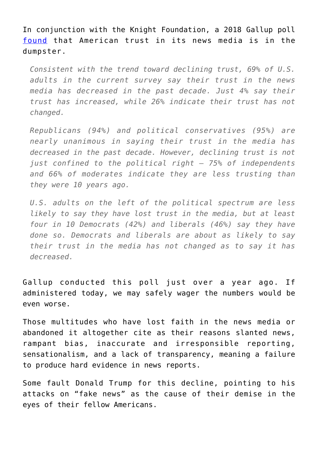In conjunction with the Knight Foundation, a 2018 Gallup poll [found](https://www.knightfoundation.org/reports/indicators-of-news-media-trust) that American trust in its news media is in the dumpster.

*Consistent with the trend toward declining trust, 69% of U.S. adults in the current survey say their trust in the news media has decreased in the past decade. Just 4% say their trust has increased, while 26% indicate their trust has not changed.*

*Republicans (94%) and political conservatives (95%) are nearly unanimous in saying their trust in the media has decreased in the past decade. However, declining trust is not just confined to the political right — 75% of independents and 66% of moderates indicate they are less trusting than they were 10 years ago.*

*U.S. adults on the left of the political spectrum are less likely to say they have lost trust in the media, but at least four in 10 Democrats (42%) and liberals (46%) say they have done so. Democrats and liberals are about as likely to say their trust in the media has not changed as to say it has decreased.*

Gallup conducted this poll just over a year ago. If administered today, we may safely wager the numbers would be even worse.

Those multitudes who have lost faith in the news media or abandoned it altogether cite as their reasons slanted news, rampant bias, inaccurate and irresponsible reporting, sensationalism, and a lack of transparency, meaning a failure to produce hard evidence in news reports.

Some fault Donald Trump for this decline, pointing to his attacks on "fake news" as the cause of their demise in the eyes of their fellow Americans.